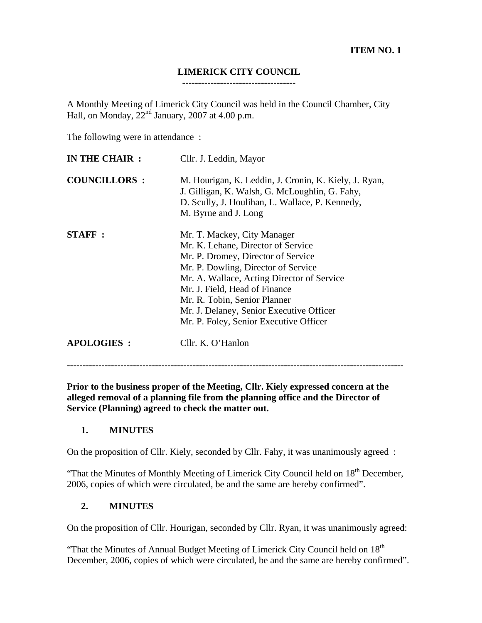# **LIMERICK CITY COUNCIL**

**------------------------------------** 

A Monthly Meeting of Limerick City Council was held in the Council Chamber, City Hall, on Monday,  $22<sup>nd</sup>$  January, 2007 at 4.00 p.m.

The following were in attendance :

| IN THE CHAIR :      | Cllr. J. Leddin, Mayor                                                                                                                                                                                                                                                                                                                              |
|---------------------|-----------------------------------------------------------------------------------------------------------------------------------------------------------------------------------------------------------------------------------------------------------------------------------------------------------------------------------------------------|
| <b>COUNCILLORS:</b> | M. Hourigan, K. Leddin, J. Cronin, K. Kiely, J. Ryan,<br>J. Gilligan, K. Walsh, G. McLoughlin, G. Fahy,<br>D. Scully, J. Houlihan, L. Wallace, P. Kennedy,<br>M. Byrne and J. Long                                                                                                                                                                  |
| <b>STAFF:</b>       | Mr. T. Mackey, City Manager<br>Mr. K. Lehane, Director of Service<br>Mr. P. Dromey, Director of Service<br>Mr. P. Dowling, Director of Service<br>Mr. A. Wallace, Acting Director of Service<br>Mr. J. Field, Head of Finance<br>Mr. R. Tobin, Senior Planner<br>Mr. J. Delaney, Senior Executive Officer<br>Mr. P. Foley, Senior Executive Officer |
| <b>APOLOGIES:</b>   | Cllr. K. O'Hanlon                                                                                                                                                                                                                                                                                                                                   |

**Prior to the business proper of the Meeting, Cllr. Kiely expressed concern at the alleged removal of a planning file from the planning office and the Director of Service (Planning) agreed to check the matter out.** 

-----------------------------------------------------------------------------------------------------------

## **1. MINUTES**

On the proposition of Cllr. Kiely, seconded by Cllr. Fahy, it was unanimously agreed :

"That the Minutes of Monthly Meeting of Limerick City Council held on  $18<sup>th</sup>$  December, 2006, copies of which were circulated, be and the same are hereby confirmed".

#### **2. MINUTES**

On the proposition of Cllr. Hourigan, seconded by Cllr. Ryan, it was unanimously agreed:

"That the Minutes of Annual Budget Meeting of Limerick City Council held on 18<sup>th</sup> December, 2006, copies of which were circulated, be and the same are hereby confirmed".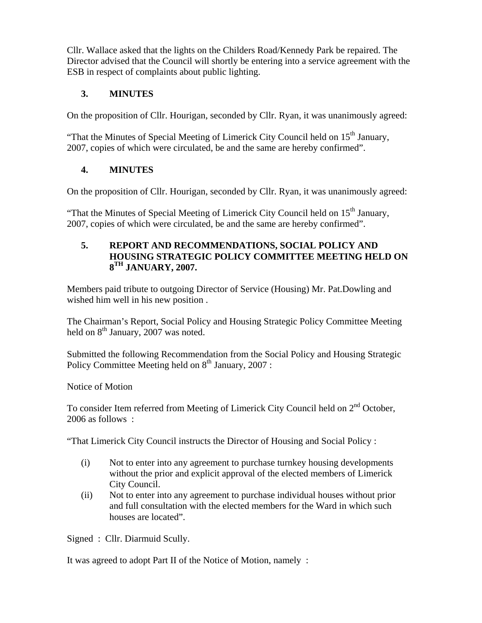Cllr. Wallace asked that the lights on the Childers Road/Kennedy Park be repaired. The Director advised that the Council will shortly be entering into a service agreement with the ESB in respect of complaints about public lighting.

# **3. MINUTES**

On the proposition of Cllr. Hourigan, seconded by Cllr. Ryan, it was unanimously agreed:

"That the Minutes of Special Meeting of Limerick City Council held on  $15<sup>th</sup>$  January, 2007, copies of which were circulated, be and the same are hereby confirmed".

# **4. MINUTES**

On the proposition of Cllr. Hourigan, seconded by Cllr. Ryan, it was unanimously agreed:

"That the Minutes of Special Meeting of Limerick City Council held on  $15<sup>th</sup>$  January, 2007, copies of which were circulated, be and the same are hereby confirmed".

#### **5. REPORT AND RECOMMENDATIONS, SOCIAL POLICY AND HOUSING STRATEGIC POLICY COMMITTEE MEETING HELD ON 8TH JANUARY, 2007.**

Members paid tribute to outgoing Director of Service (Housing) Mr. Pat.Dowling and wished him well in his new position .

The Chairman's Report, Social Policy and Housing Strategic Policy Committee Meeting held on 8<sup>th</sup> January, 2007 was noted.

Submitted the following Recommendation from the Social Policy and Housing Strategic Policy Committee Meeting held on  $8<sup>th</sup>$  January, 2007 :

Notice of Motion

To consider Item referred from Meeting of Limerick City Council held on  $2<sup>nd</sup>$  October, 2006 as follows :

"That Limerick City Council instructs the Director of Housing and Social Policy :

- (i) Not to enter into any agreement to purchase turnkey housing developments without the prior and explicit approval of the elected members of Limerick City Council.
- (ii) Not to enter into any agreement to purchase individual houses without prior and full consultation with the elected members for the Ward in which such houses are located".

Signed : Cllr. Diarmuid Scully.

It was agreed to adopt Part II of the Notice of Motion, namely :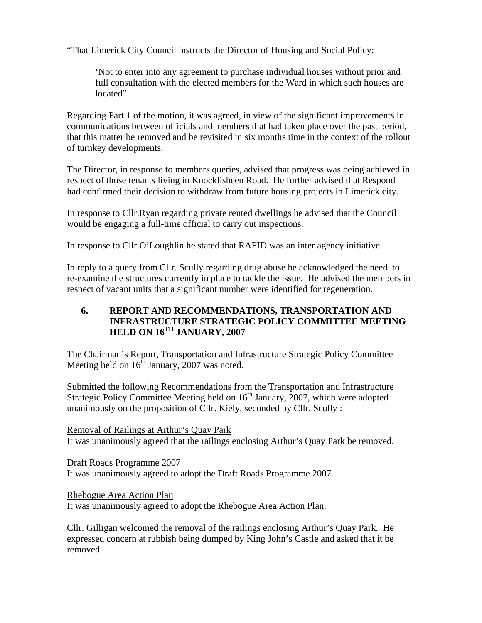"That Limerick City Council instructs the Director of Housing and Social Policy:

'Not to enter into any agreement to purchase individual houses without prior and full consultation with the elected members for the Ward in which such houses are located".

Regarding Part 1 of the motion, it was agreed, in view of the significant improvements in communications between officials and members that had taken place over the past period, that this matter be removed and be revisited in six months time in the context of the rollout of turnkey developments.

The Director, in response to members queries, advised that progress was being achieved in respect of those tenants living in Knocklisheen Road. He further advised that Respond had confirmed their decision to withdraw from future housing projects in Limerick city.

In response to Cllr.Ryan regarding private rented dwellings he advised that the Council would be engaging a full-time official to carry out inspections.

In response to Cllr.O'Loughlin he stated that RAPID was an inter agency initiative.

In reply to a query from Cllr. Scully regarding drug abuse he acknowledged the need to re-examine the structures currently in place to tackle the issue. He advised the members in respect of vacant units that a significant number were identified for regeneration.

# **6. REPORT AND RECOMMENDATIONS, TRANSPORTATION AND INFRASTRUCTURE STRATEGIC POLICY COMMITTEE MEETING HELD ON 16TH JANUARY, 2007**

The Chairman's Report, Transportation and Infrastructure Strategic Policy Committee Meeting held on  $16<sup>th</sup>$  January, 2007 was noted.

Submitted the following Recommendations from the Transportation and Infrastructure Strategic Policy Committee Meeting held on  $16<sup>th</sup>$  January, 2007, which were adopted unanimously on the proposition of Cllr. Kiely, seconded by Cllr. Scully :

Removal of Railings at Arthur's Quay Park It was unanimously agreed that the railings enclosing Arthur's Quay Park be removed.

Draft Roads Programme 2007 It was unanimously agreed to adopt the Draft Roads Programme 2007.

Rhebogue Area Action Plan

It was unanimously agreed to adopt the Rhebogue Area Action Plan.

Cllr. Gilligan welcomed the removal of the railings enclosing Arthur's Quay Park. He expressed concern at rubbish being dumped by King John's Castle and asked that it be removed.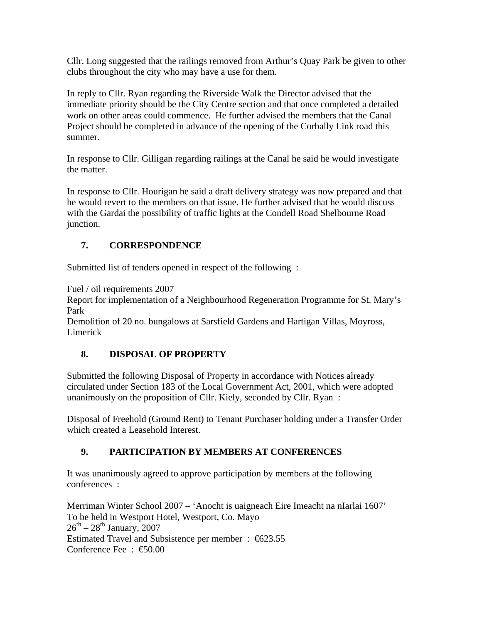Cllr. Long suggested that the railings removed from Arthur's Quay Park be given to other clubs throughout the city who may have a use for them.

In reply to Cllr. Ryan regarding the Riverside Walk the Director advised that the immediate priority should be the City Centre section and that once completed a detailed work on other areas could commence. He further advised the members that the Canal Project should be completed in advance of the opening of the Corbally Link road this summer.

In response to Cllr. Gilligan regarding railings at the Canal he said he would investigate the matter.

In response to Cllr. Hourigan he said a draft delivery strategy was now prepared and that he would revert to the members on that issue. He further advised that he would discuss with the Gardai the possibility of traffic lights at the Condell Road Shelbourne Road junction.

# **7. CORRESPONDENCE**

Submitted list of tenders opened in respect of the following :

Fuel / oil requirements 2007

Report for implementation of a Neighbourhood Regeneration Programme for St. Mary's Park

Demolition of 20 no. bungalows at Sarsfield Gardens and Hartigan Villas, Moyross, Limerick

# **8. DISPOSAL OF PROPERTY**

Submitted the following Disposal of Property in accordance with Notices already circulated under Section 183 of the Local Government Act, 2001, which were adopted unanimously on the proposition of Cllr. Kiely, seconded by Cllr. Ryan :

Disposal of Freehold (Ground Rent) to Tenant Purchaser holding under a Transfer Order which created a Leasehold Interest.

# **9. PARTICIPATION BY MEMBERS AT CONFERENCES**

It was unanimously agreed to approve participation by members at the following conferences :

Merriman Winter School 2007 – 'Anocht is uaigneach Eire Imeacht na nIarlai 1607' To be held in Westport Hotel, Westport, Co. Mayo  $26^{\text{th}} - 28^{\text{th}}$  January, 2007 Estimated Travel and Subsistence per member : €623.55 Conference Fee : €50.00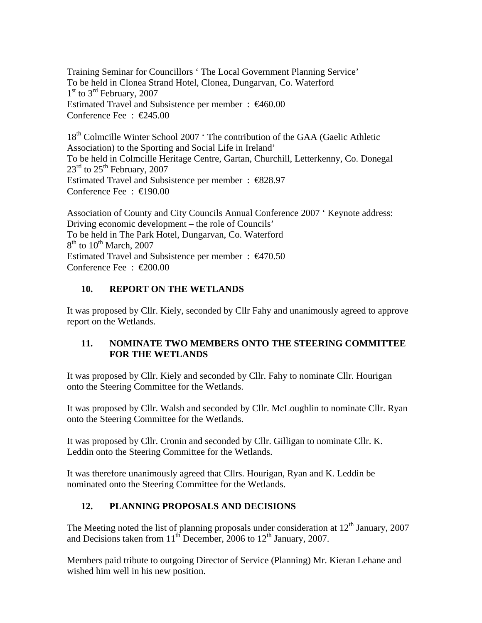Training Seminar for Councillors ' The Local Government Planning Service' To be held in Clonea Strand Hotel, Clonea, Dungarvan, Co. Waterford  $1<sup>st</sup>$  to  $3<sup>rd</sup>$  February, 2007 Estimated Travel and Subsistence per member : €460.00 Conference Fee : €245.00

18<sup>th</sup> Colmcille Winter School 2007 ' The contribution of the GAA (Gaelic Athletic Association) to the Sporting and Social Life in Ireland' To be held in Colmcille Heritage Centre, Gartan, Churchill, Letterkenny, Co. Donegal  $23<sup>rd</sup>$  to  $25<sup>th</sup>$  February, 2007 Estimated Travel and Subsistence per member : €828.97 Conference Fee : €190.00

Association of County and City Councils Annual Conference 2007 ' Keynote address: Driving economic development – the role of Councils' To be held in The Park Hotel, Dungarvan, Co. Waterford  $8<sup>th</sup>$  to  $10<sup>th</sup>$  March, 2007 Estimated Travel and Subsistence per member :  $\epsilon$ 470.50 Conference Fee : €200.00

#### **10. REPORT ON THE WETLANDS**

It was proposed by Cllr. Kiely, seconded by Cllr Fahy and unanimously agreed to approve report on the Wetlands.

## **11. NOMINATE TWO MEMBERS ONTO THE STEERING COMMITTEE FOR THE WETLANDS**

It was proposed by Cllr. Kiely and seconded by Cllr. Fahy to nominate Cllr. Hourigan onto the Steering Committee for the Wetlands.

It was proposed by Cllr. Walsh and seconded by Cllr. McLoughlin to nominate Cllr. Ryan onto the Steering Committee for the Wetlands.

It was proposed by Cllr. Cronin and seconded by Cllr. Gilligan to nominate Cllr. K. Leddin onto the Steering Committee for the Wetlands.

It was therefore unanimously agreed that Cllrs. Hourigan, Ryan and K. Leddin be nominated onto the Steering Committee for the Wetlands.

## **12. PLANNING PROPOSALS AND DECISIONS**

The Meeting noted the list of planning proposals under consideration at  $12<sup>th</sup>$  January, 2007 and Decisions taken from  $11<sup>th</sup>$  December, 2006 to  $12<sup>th</sup>$  January, 2007.

Members paid tribute to outgoing Director of Service (Planning) Mr. Kieran Lehane and wished him well in his new position.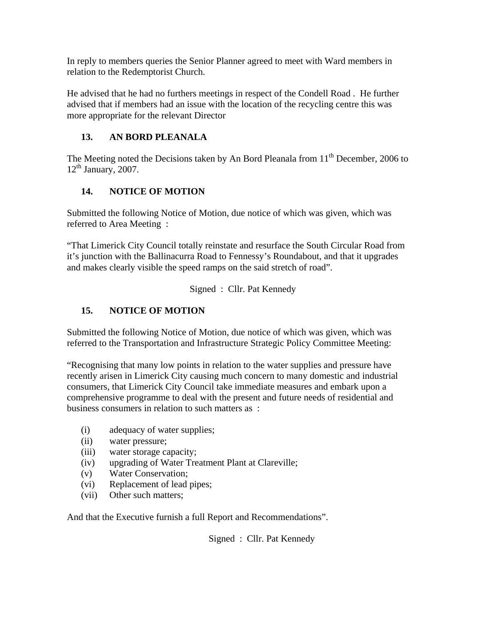In reply to members queries the Senior Planner agreed to meet with Ward members in relation to the Redemptorist Church.

He advised that he had no furthers meetings in respect of the Condell Road . He further advised that if members had an issue with the location of the recycling centre this was more appropriate for the relevant Director

# **13. AN BORD PLEANALA**

The Meeting noted the Decisions taken by An Bord Pleanala from  $11<sup>th</sup>$  December, 2006 to  $12<sup>th</sup>$  January, 2007.

# **14. NOTICE OF MOTION**

Submitted the following Notice of Motion, due notice of which was given, which was referred to Area Meeting :

"That Limerick City Council totally reinstate and resurface the South Circular Road from it's junction with the Ballinacurra Road to Fennessy's Roundabout, and that it upgrades and makes clearly visible the speed ramps on the said stretch of road".

Signed : Cllr. Pat Kennedy

## **15. NOTICE OF MOTION**

Submitted the following Notice of Motion, due notice of which was given, which was referred to the Transportation and Infrastructure Strategic Policy Committee Meeting:

"Recognising that many low points in relation to the water supplies and pressure have recently arisen in Limerick City causing much concern to many domestic and industrial consumers, that Limerick City Council take immediate measures and embark upon a comprehensive programme to deal with the present and future needs of residential and business consumers in relation to such matters as :

- (i) adequacy of water supplies;
- (ii) water pressure;
- (iii) water storage capacity;
- (iv) upgrading of Water Treatment Plant at Clareville;
- (v) Water Conservation;
- (vi) Replacement of lead pipes;
- (vii) Other such matters;

And that the Executive furnish a full Report and Recommendations".

Signed : Cllr. Pat Kennedy